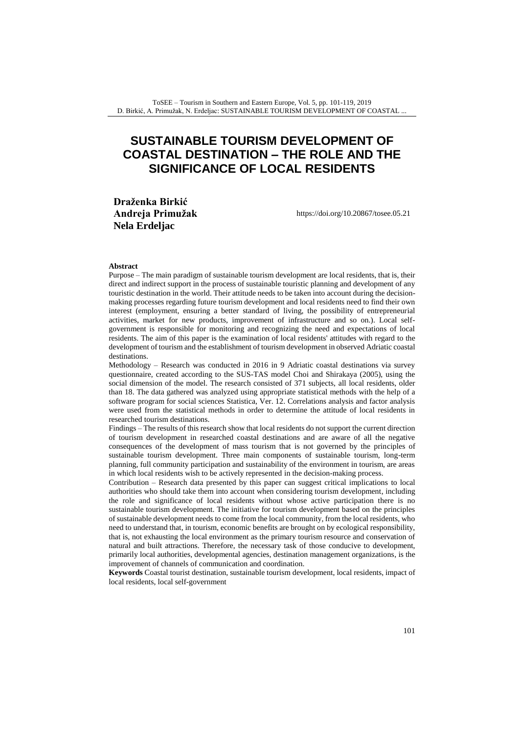# **SUSTAINABLE TOURISM DEVELOPMENT OF COASTAL DESTINATION – THE ROLE AND THE SIGNIFICANCE OF LOCAL RESIDENTS**

**Draženka Birkić Andreja Primužak Nela Erdeljac**

<https://doi.org/10.20867/tosee.05.21>

#### **Abstract**

Purpose – The main paradigm of sustainable tourism development are local residents, that is, their direct and indirect support in the process of sustainable touristic planning and development of any touristic destination in the world. Their attitude needs to be taken into account during the decisionmaking processes regarding future tourism development and local residents need to find their own interest (employment, ensuring a better standard of living, the possibility of entrepreneurial activities, market for new products, improvement of infrastructure and so on.). Local selfgovernment is responsible for monitoring and recognizing the need and expectations of local residents. The aim of this paper is the examination of local residents' attitudes with regard to the development of tourism and the establishment of tourism development in observed Adriatic coastal destinations.

Methodology – Research was conducted in 2016 in 9 Adriatic coastal destinations via survey questionnaire, created according to the SUS-TAS model Choi and Shirakaya (2005), using the social dimension of the model. The research consisted of 371 subjects, all local residents, older than 18. The data gathered was analyzed using appropriate statistical methods with the help of a software program for social sciences Statistica, Ver. 12. Correlations analysis and factor analysis were used from the statistical methods in order to determine the attitude of local residents in researched tourism destinations.

Findings – The results of this research show that local residents do not support the current direction of tourism development in researched coastal destinations and are aware of all the negative consequences of the development of mass tourism that is not governed by the principles of sustainable tourism development. Three main components of sustainable tourism, long-term planning, full community participation and sustainability of the environment in tourism, are areas in which local residents wish to be actively represented in the decision-making process.

Contribution – Research data presented by this paper can suggest critical implications to local authorities who should take them into account when considering tourism development, including the role and significance of local residents without whose active participation there is no sustainable tourism development. The initiative for tourism development based on the principles of sustainable development needs to come from the local community, from the local residents, who need to understand that, in tourism, economic benefits are brought on by ecological responsibility, that is, not exhausting the local environment as the primary tourism resource and conservation of natural and built attractions. Therefore, the necessary task of those conducive to development, primarily local authorities, developmental agencies, destination management organizations, is the improvement of channels of communication and coordination.

**Keywords** Coastal tourist destination, sustainable tourism development, local residents, impact of local residents, local self-government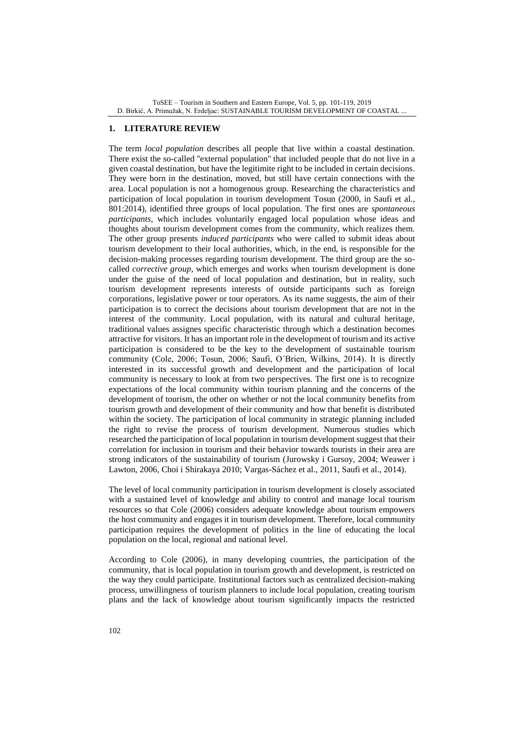ToSEE – Tourism in Southern and Eastern Europe, Vol. 5, pp. 101-119, 2019 D. Birkić, A. Primužak, N. Erdeljac: SUSTAINABLE TOURISM DEVELOPMENT OF COASTAL ...

#### **1. LITERATURE REVIEW**

The term *local population* describes all people that live within a coastal destination. There exist the so-called ''external population'' that included people that do not live in a given coastal destination, but have the legitimite right to be included in certain decisions. They were born in the destination, moved, but still have certain connections with the area. Local population is not a homogenous group. Researching the characteristics and participation of local population in tourism development Tosun (2000, in Saufi et al., 801:2014), identified three groups of local population. The first ones are *spontaneous participants*, which includes voluntarily engaged local population whose ideas and thoughts about tourism development comes from the community, which realizes them. The other group presents *induced participants* who were called to submit ideas about tourism development to their local authorities, which, in the end, is responsible for the decision-making processes regarding tourism development. The third group are the socalled *corrective group,* which emerges and works when tourism development is done under the guise of the need of local population and destination, but in reality, such tourism development represents interests of outside participants such as foreign corporations, legislative power or tour operators. As its name suggests, the aim of their participation is to correct the decisions about tourism development that are not in the interest of the community. Local population, with its natural and cultural heritage, traditional values assignes specific characteristic through which a destination becomes attractive for visitors. It has an important role in the development of tourism and its active participation is considered to be the key to the development of sustainable tourism community (Cole, 2006; Tosun, 2006; Saufi, O´Brien, Wilkins, 2014). It is directly interested in its successful growth and development and the participation of local community is necessary to look at from two perspectives. The first one is to recognize expectations of the local community within tourism planning and the concerns of the development of tourism, the other on whether or not the local community benefits from tourism growth and development of their community and how that benefit is distributed within the society. The participation of local community in strategic planning included the right to revise the process of tourism development. Numerous studies which researched the participation of local population in tourism development suggest that their correlation for inclusion in tourism and their behavior towards tourists in their area are strong indicators of the sustainability of tourism (Jurowsky i Gursoy, 2004; Weawer i Lawton, 2006, Choi i Shirakaya 2010; Vargas-Sáchez et al., 2011, Saufi et al., 2014).

The level of local community participation in tourism development is closely associated with a sustained level of knowledge and ability to control and manage local tourism resources so that Cole (2006) considers adequate knowledge about tourism empowers the host community and engages it in tourism development. Therefore, local community participation requires the development of politics in the line of educating the local population on the local, regional and national level.

According to Cole (2006), in many developing countries, the participation of the community, that is local population in tourism growth and development, is restricted on the way they could participate. Institutional factors such as centralized decision-making process, unwillingness of tourism planners to include local population, creating tourism plans and the lack of knowledge about tourism significantly impacts the restricted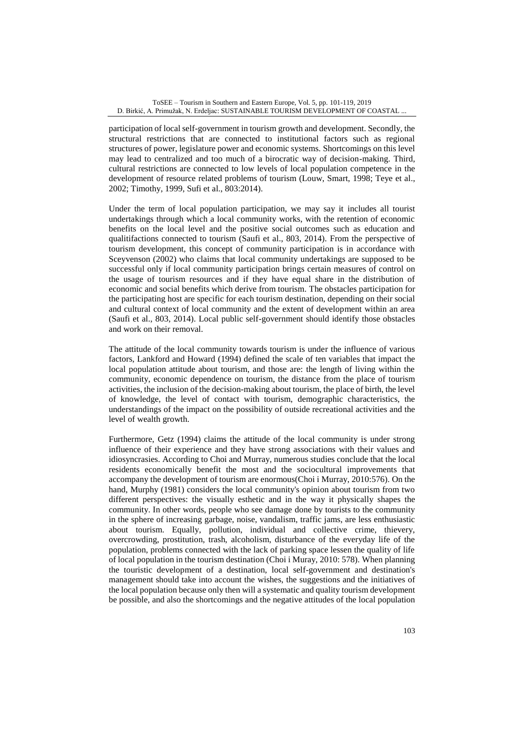participation of local self-government in tourism growth and development. Secondly, the structural restrictions that are connected to institutional factors such as regional structures of power, legislature power and economic systems. Shortcomings on this level may lead to centralized and too much of a birocratic way of decision-making. Third, cultural restrictions are connected to low levels of local population competence in the development of resource related problems of tourism (Louw, Smart, 1998; Teye et al., 2002; Timothy, 1999, Sufi et al., 803:2014).

Under the term of local population participation, we may say it includes all tourist undertakings through which a local community works, with the retention of economic benefits on the local level and the positive social outcomes such as education and qualitifactions connected to tourism (Saufi et al., 803, 2014). From the perspective of tourism development, this concept of community participation is in accordance with Sceyvenson (2002) who claims that local community undertakings are supposed to be successful only if local community participation brings certain measures of control on the usage of tourism resources and if they have equal share in the distribution of economic and social benefits which derive from tourism. The obstacles participation for the participating host are specific for each tourism destination, depending on their social and cultural context of local community and the extent of development within an area (Saufi et al., 803, 2014). Local public self-government should identify those obstacles and work on their removal.

The attitude of the local community towards tourism is under the influence of various factors, Lankford and Howard (1994) defined the scale of ten variables that impact the local population attitude about tourism, and those are: the length of living within the community, economic dependence on tourism, the distance from the place of tourism activities, the inclusion of the decision-making about tourism, the place of birth, the level of knowledge, the level of contact with tourism, demographic characteristics, the understandings of the impact on the possibility of outside recreational activities and the level of wealth growth.

Furthermore, Getz (1994) claims the attitude of the local community is under strong influence of their experience and they have strong associations with their values and idiosyncrasies. According to Choi and Murray, numerous studies conclude that the local residents economically benefit the most and the sociocultural improvements that accompany the development of tourism are enormous(Choi i Murray, 2010:576). On the hand, Murphy (1981) considers the local community's opinion about tourism from two different perspectives: the visually esthetic and in the way it physically shapes the community. In other words, people who see damage done by tourists to the community in the sphere of increasing garbage, noise, vandalism, traffic jams, are less enthusiastic about tourism. Equally, pollution, individual and collective crime, thievery, overcrowding, prostitution, trash, alcoholism, disturbance of the everyday life of the population, problems connected with the lack of parking space lessen the quality of life of local population in the tourism destination (Choi i Muray, 2010: 578). When planning the touristic development of a destination, local self-government and destination's management should take into account the wishes, the suggestions and the initiatives of the local population because only then will a systematic and quality tourism development be possible, and also the shortcomings and the negative attitudes of the local population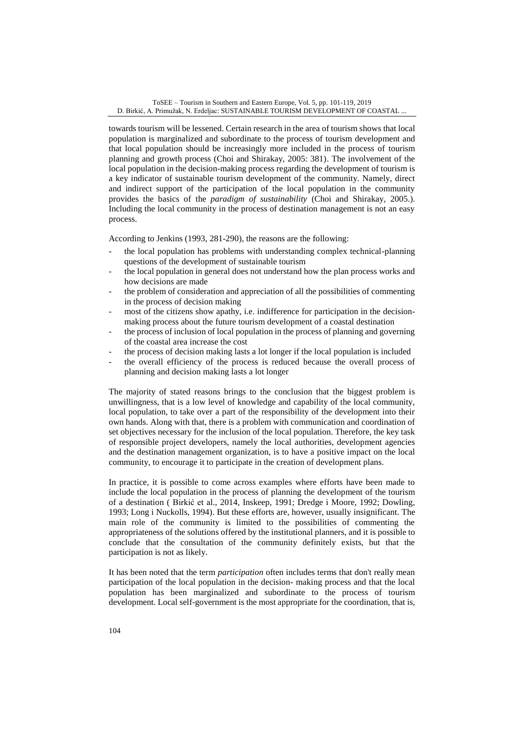towards tourism will be lessened. Certain research in the area of tourism shows that local population is marginalized and subordinate to the process of tourism development and that local population should be increasingly more included in the process of tourism planning and growth process (Choi and Shirakay, 2005: 381). The involvement of the local population in the decision-making process regarding the development of tourism is a key indicator of sustainable tourism development of the community. Namely, direct and indirect support of the participation of the local population in the community provides the basics of the *paradigm of sustainability* (Choi and Shirakay, 2005.). Including the local community in the process of destination management is not an easy process.

According to Jenkins (1993, 281-290), the reasons are the following:

- the local population has problems with understanding complex technical-planning questions of the development of sustainable tourism
- the local population in general does not understand how the plan process works and how decisions are made
- the problem of consideration and appreciation of all the possibilities of commenting in the process of decision making
- most of the citizens show apathy, i.e. indifference for participation in the decisionmaking process about the future tourism development of a coastal destination
- the process of inclusion of local population in the process of planning and governing of the coastal area increase the cost
- the process of decision making lasts a lot longer if the local population is included
- the overall efficiency of the process is reduced because the overall process of planning and decision making lasts a lot longer

The majority of stated reasons brings to the conclusion that the biggest problem is unwillingness, that is a low level of knowledge and capability of the local community, local population, to take over a part of the responsibility of the development into their own hands. Along with that, there is a problem with communication and coordination of set objectives necessary for the inclusion of the local population. Therefore, the key task of responsible project developers, namely the local authorities, development agencies and the destination management organization, is to have a positive impact on the local community, to encourage it to participate in the creation of development plans.

In practice, it is possible to come across examples where efforts have been made to include the local population in the process of planning the development of the tourism of a destination ( Birkić et al., 2014, Inskeep, 1991; Dredge i Moore, 1992; Dowling, 1993; Long i Nuckolls, 1994). But these efforts are, however, usually insignificant. The main role of the community is limited to the possibilities of commenting the appropriateness of the solutions offered by the institutional planners, and it is possible to conclude that the consultation of the community definitely exists, but that the participation is not as likely.

It has been noted that the term *participation* often includes terms that don't really mean participation of the local population in the decision- making process and that the local population has been marginalized and subordinate to the process of tourism development. Local self-government is the most appropriate for the coordination, that is,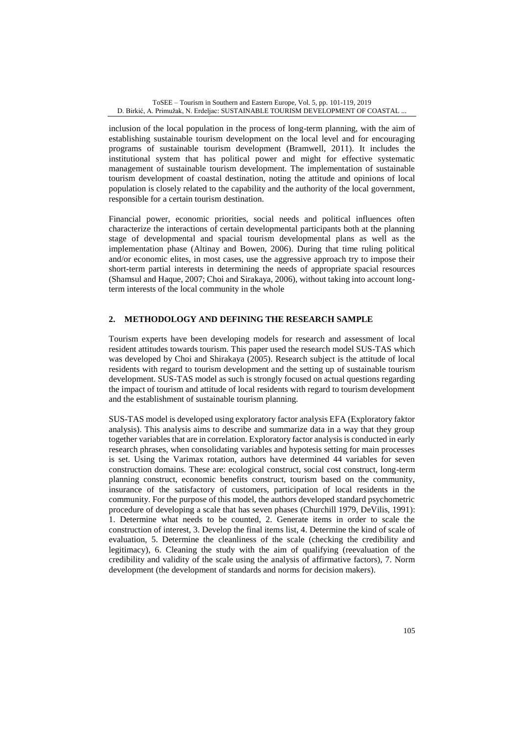inclusion of the local population in the process of long-term planning, with the aim of establishing sustainable tourism development on the local level and for encouraging programs of sustainable tourism development (Bramwell, 2011). It includes the institutional system that has political power and might for effective systematic management of sustainable tourism development. The implementation of sustainable tourism development of coastal destination, noting the attitude and opinions of local population is closely related to the capability and the authority of the local government, responsible for a certain tourism destination.

Financial power, economic priorities, social needs and political influences often characterize the interactions of certain developmental participants both at the planning stage of developmental and spacial tourism developmental plans as well as the implementation phase (Altinay and Bowen, 2006). During that time ruling political and/or economic elites, in most cases, use the aggressive approach try to impose their short-term partial interests in determining the needs of appropriate spacial resources (Shamsul and Haque, 2007; Choi and Sirakaya, 2006), without taking into account longterm interests of the local community in the whole

# **2. METHODOLOGY AND DEFINING THE RESEARCH SAMPLE**

Tourism experts have been developing models for research and assessment of local resident attitudes towards tourism. This paper used the research model SUS-TAS which was developed by Choi and Shirakaya (2005). Research subject is the attitude of local residents with regard to tourism development and the setting up of sustainable tourism development. SUS-TAS model as such is strongly focused on actual questions regarding the impact of tourism and attitude of local residents with regard to tourism development and the establishment of sustainable tourism planning.

SUS-TAS model is developed using exploratory factor analysis EFA (Exploratory faktor analysis). This analysis aims to describe and summarize data in a way that they group together variables that are in correlation. Exploratory factor analysis is conducted in early research phrases, when consolidating variables and hypotesis setting for main processes is set. Using the Varimax rotation, authors have determined 44 variables for seven construction domains. These are: ecological construct, social cost construct, long-term planning construct, economic benefits construct, tourism based on the community, insurance of the satisfactory of customers, participation of local residents in the community. For the purpose of this model, the authors developed standard psychometric procedure of developing a scale that has seven phases (Churchill 1979, DeVilis, 1991): 1. Determine what needs to be counted, 2. Generate items in order to scale the construction of interest, 3. Develop the final items list, 4. Determine the kind of scale of evaluation, 5. Determine the cleanliness of the scale (checking the credibility and legitimacy), 6. Cleaning the study with the aim of qualifying (reevaluation of the credibility and validity of the scale using the analysis of affirmative factors), 7. Norm development (the development of standards and norms for decision makers).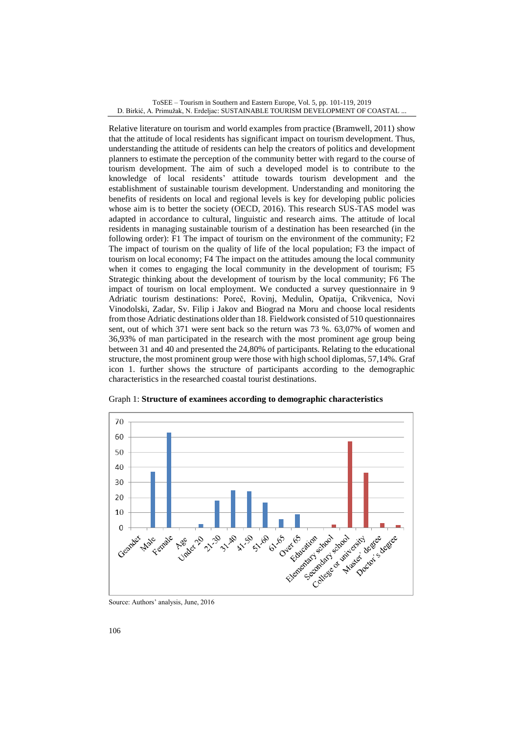Relative literature on tourism and world examples from practice (Bramwell, 2011) show that the attitude of local residents has significant impact on tourism development. Thus, understanding the attitude of residents can help the creators of politics and development planners to estimate the perception of the community better with regard to the course of tourism development. The aim of such a developed model is to contribute to the knowledge of local residents' attitude towards tourism development and the establishment of sustainable tourism development. Understanding and monitoring the benefits of residents on local and regional levels is key for developing public policies whose aim is to better the society (OECD, 2016). This research SUS-TAS model was adapted in accordance to cultural, linguistic and research aims. The attitude of local residents in managing sustainable tourism of a destination has been researched (in the following order): F1 The impact of tourism on the environment of the community; F2 The impact of tourism on the quality of life of the local population; F3 the impact of tourism on local economy; F4 The impact on the attitudes amoung the local community when it comes to engaging the local community in the development of tourism; F5 Strategic thinking about the development of tourism by the local community; F6 The impact of tourism on local employment. We conducted a survey questionnaire in 9 Adriatic tourism destinations: Poreč, Rovinj, Medulin, Opatija, Crikvenica, Novi Vinodolski, Zadar, Sv. Filip i Jakov and Biograd na Moru and choose local residents from those Adriatic destinations older than 18. Fieldwork consisted of 510 questionnaires sent, out of which 371 were sent back so the return was 73 %. 63,07% of women and 36,93% of man participated in the research with the most prominent age group being between 31 and 40 and presented the 24,80% of participants. Relating to the educational structure, the most prominent group were those with high school diplomas, 57,14%. Graf icon 1. further shows the structure of participants according to the demographic characteristics in the researched coastal tourist destinations.



Graph 1: **Structure of examinees according to demographic characteristics**

Source: Authors' analysis, June, 2016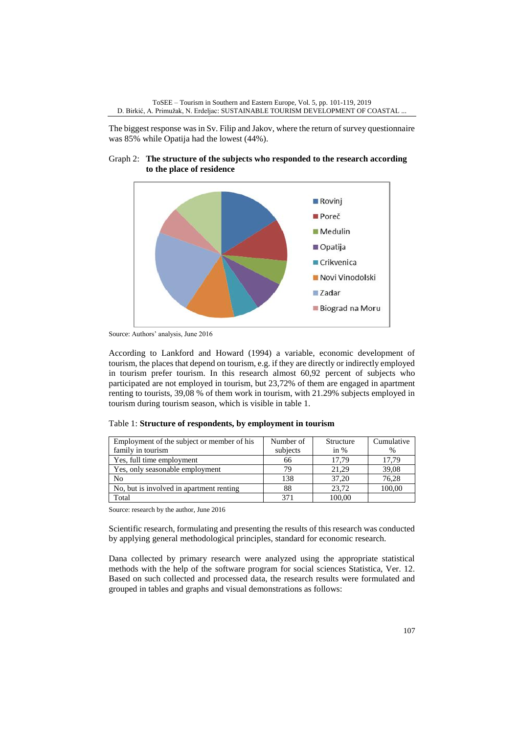The biggest response was in Sv. Filip and Jakov, where the return of survey questionnaire was 85% while Opatija had the lowest (44%).

Graph 2: **The structure of the subjects who responded to the research according to the place of residence**



Source: Authors' analysis, June 2016

According to Lankford and Howard (1994) a variable, economic development of tourism, the places that depend on tourism, e.g. if they are directly or indirectly employed in tourism prefer tourism. In this research almost 60,92 percent of subjects who participated are not employed in tourism, but 23,72% of them are engaged in apartment renting to tourists, 39,08 % of them work in tourism, with 21.29% subjects employed in tourism during tourism season, which is visible in table 1.

| Table 1: Structure of respondents, by employment in tourism |  |  |  |  |
|-------------------------------------------------------------|--|--|--|--|
|-------------------------------------------------------------|--|--|--|--|

| Employment of the subject or member of his | Number of | Structure | Cumulative |
|--------------------------------------------|-----------|-----------|------------|
| family in tourism                          | subjects  | in $%$    | $\%$       |
| Yes, full time employment                  | 66        | 17,79     | 17,79      |
| Yes, only seasonable employment            | 79        | 21.29     | 39,08      |
| No                                         | 138       | 37,20     | 76,28      |
| No, but is involved in apartment renting   | 88        | 23.72     | 100,00     |
| Total                                      | 371       | 100.00    |            |

Source: research by the author, June 2016

Scientific research, formulating and presenting the results of this research was conducted by applying general methodological principles, standard for economic research.

Dana collected by primary research were analyzed using the appropriate statistical methods with the help of the software program for social sciences Statistica, Ver. 12. Based on such collected and processed data, the research results were formulated and grouped in tables and graphs and visual demonstrations as follows: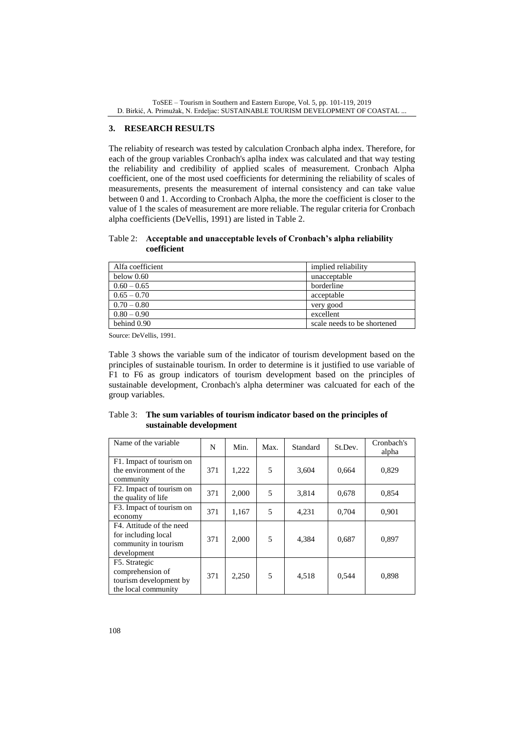ToSEE – Tourism in Southern and Eastern Europe, Vol. 5, pp. 101-119, 2019 D. Birkić, A. Primužak, N. Erdeljac: SUSTAINABLE TOURISM DEVELOPMENT OF COASTAL ...

## **3. RESEARCH RESULTS**

The reliabity of research was tested by calculation Cronbach alpha index. Therefore, for each of the group variables Cronbach's aplha index was calculated and that way testing the reliability and credibility of applied scales of measurement. Cronbach Alpha coefficient, one of the most used coefficients for determining the reliability of scales of measurements, presents the measurement of internal consistency and can take value between 0 and 1. According to Cronbach Alpha, the more the coefficient is closer to the value of 1 the scales of measurement are more reliable. The regular criteria for Cronbach alpha coefficients (DeVellis, 1991) are listed in Table 2.

### Table 2: **Acceptable and unacceptable levels of Cronbach's alpha reliability coefficient**

| Alfa coefficient | implied reliability         |
|------------------|-----------------------------|
| below $0.60$     | unacceptable                |
| $0.60 - 0.65$    | borderline                  |
| $0.65 - 0.70$    | acceptable                  |
| $0.70 - 0.80$    | very good                   |
| $0.80 - 0.90$    | excellent                   |
| behind 0.90      | scale needs to be shortened |

Source: DeVellis, 1991.

Table 3 shows the variable sum of the indicator of tourism development based on the principles of sustainable tourism. In order to determine is it justified to use variable of F1 to F6 as group indicators of tourism development based on the principles of sustainable development, Cronbach's alpha determiner was calcuated for each of the group variables.

| Table 3: The sum variables of tourism indicator based on the principles of |
|----------------------------------------------------------------------------|
| sustainable development                                                    |

| Name of the variable                                                                   | N   | Min.  | Max. | Standard | St.Dev. | Cronbach's<br>alpha |
|----------------------------------------------------------------------------------------|-----|-------|------|----------|---------|---------------------|
| F1. Impact of tourism on<br>the environment of the<br>community                        | 371 | 1,222 | 5    | 3,604    | 0.664   | 0,829               |
| F2. Impact of tourism on<br>the quality of life                                        | 371 | 2,000 | 5    | 3,814    | 0,678   | 0,854               |
| F3. Impact of tourism on<br>economy                                                    | 371 | 1,167 | 5    | 4,231    | 0,704   | 0,901               |
| F4. Attitude of the need<br>for including local<br>community in tourism<br>development | 371 | 2,000 | 5    | 4,384    | 0,687   | 0,897               |
| F5. Strategic<br>comprehension of<br>tourism development by<br>the local community     | 371 | 2,250 | 5    | 4,518    | 0,544   | 0,898               |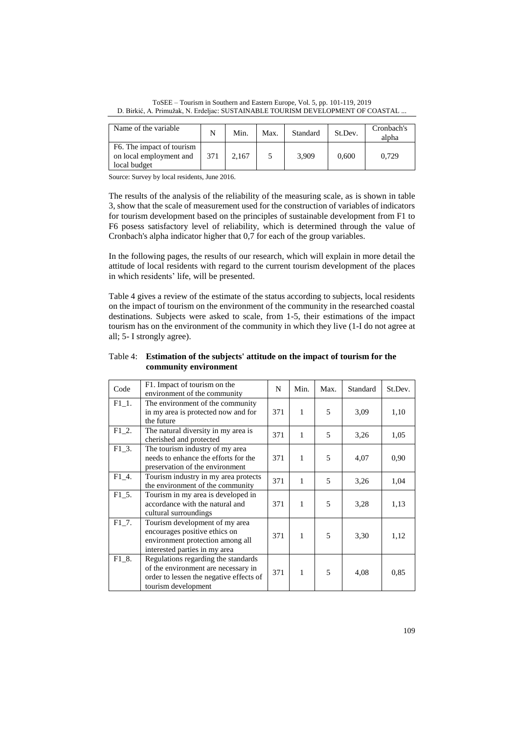ToSEE – Tourism in Southern and Eastern Europe, Vol. 5, pp. 101-119, 2019 D. Birkić, A. Primužak, N. Erdeljac: SUSTAINABLE TOURISM DEVELOPMENT OF COASTAL ...

| Name of the variable                                                              | N   | Min.  | Max. | Standard | St.Dev. | Cronbach's<br>alpha |
|-----------------------------------------------------------------------------------|-----|-------|------|----------|---------|---------------------|
| F <sub>6</sub> . The impact of tourism<br>on local employment and<br>local budget | 371 | 2.167 |      | 3,909    | 0,600   | 0.729               |

Source: Survey by local residents, June 2016.

The results of the analysis of the reliability of the measuring scale, as is shown in table 3, show that the scale of measurement used for the construction of variables of indicators for tourism development based on the principles of sustainable development from F1 to F6 posess satisfactory level of reliability, which is determined through the value of Cronbach's alpha indicator higher that 0,7 for each of the group variables.

In the following pages, the results of our research, which will explain in more detail the attitude of local residents with regard to the current tourism development of the places in which residents' life, will be presented.

Table 4 gives a review of the estimate of the status according to subjects, local residents on the impact of tourism on the environment of the community in the researched coastal destinations. Subjects were asked to scale, from 1-5, their estimations of the impact tourism has on the environment of the community in which they live (1-I do not agree at all; 5- I strongly agree).

| Code     | F1. Impact of tourism on the<br>environment of the community                                                                                 | N   | Min.         | Max.           | Standard | St.Dev. |
|----------|----------------------------------------------------------------------------------------------------------------------------------------------|-----|--------------|----------------|----------|---------|
| $F1_1$ . | The environment of the community<br>in my area is protected now and for<br>the future                                                        | 371 | 1            | 5              | 3.09     | 1,10    |
| F1 2.    | The natural diversity in my area is<br>cherished and protected                                                                               | 371 | $\mathbf{1}$ | $\overline{5}$ | 3,26     | 1,05    |
| $F1_3$ . | The tourism industry of my area<br>needs to enhance the efforts for the<br>preservation of the environment                                   | 371 | 1            | 5              | 4,07     | 0.90    |
| $F1_4$ . | Tourism industry in my area protects<br>the environment of the community                                                                     | 371 | 1            | 5              | 3,26     | 1,04    |
| F1 5.    | Tourism in my area is developed in<br>accordance with the natural and<br>cultural surroundings                                               | 371 | 1            | 5              | 3,28     | 1,13    |
| $F1_7$ . | Tourism development of my area<br>encourages positive ethics on<br>environment protection among all<br>interested parties in my area         | 371 | 1            | 5              | 3,30     | 1,12    |
| F1 8.    | Regulations regarding the standards<br>of the environment are necessary in<br>order to lessen the negative effects of<br>tourism development | 371 | 1            | 5              | 4,08     | 0,85    |

Table 4: **Estimation of the subjects' attitude on the impact of tourism for the community environment**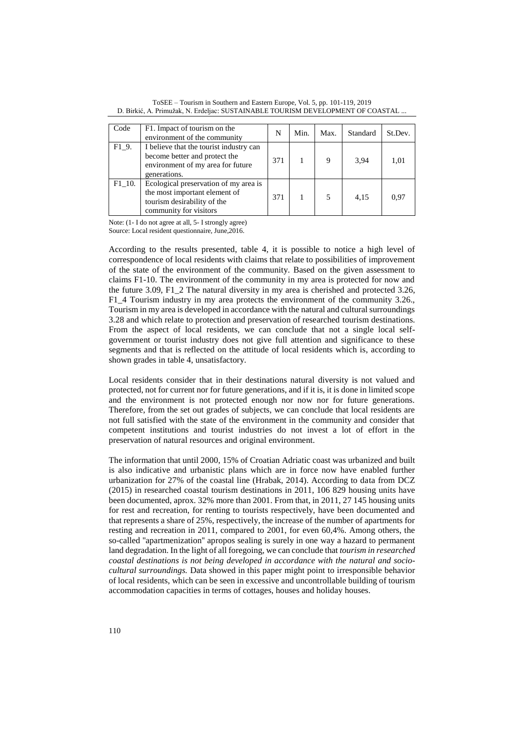| Code     | F1. Impact of tourism on the<br>environment of the community                                                                    | N   | Min. | Max. | Standard | St.Dev. |
|----------|---------------------------------------------------------------------------------------------------------------------------------|-----|------|------|----------|---------|
| F1 9.    | I believe that the tourist industry can<br>become better and protect the<br>environment of my area for future<br>generations.   | 371 |      | 9    | 3,94     | 1,01    |
| $F1_10.$ | Ecological preservation of my area is<br>the most important element of<br>tourism desirability of the<br>community for visitors | 371 |      |      | 4,15     | 0.97    |

ToSEE – Tourism in Southern and Eastern Europe, Vol. 5, pp. 101-119, 2019 D. Birkić, A. Primužak, N. Erdeljac: SUSTAINABLE TOURISM DEVELOPMENT OF COASTAL ...

Note: (1- I do not agree at all, 5- I strongly agree) Source: Local resident questionnaire, June,2016.

According to the results presented, table 4, it is possible to notice a high level of correspondence of local residents with claims that relate to possibilities of improvement of the state of the environment of the community. Based on the given assessment to claims F1-10. The environment of the community in my area is protected for now and the future 3.09, F1\_2 The natural diversity in my area is cherished and protected 3.26, F1\_4 Tourism industry in my area protects the environment of the community 3.26., Tourism in my area is developed in accordance with the natural and cultural surroundings 3.28 and which relate to protection and preservation of researched tourism destinations. From the aspect of local residents, we can conclude that not a single local selfgovernment or tourist industry does not give full attention and significance to these segments and that is reflected on the attitude of local residents which is, according to shown grades in table 4, unsatisfactory.

Local residents consider that in their destinations natural diversity is not valued and protected, not for current nor for future generations, and if it is, it is done in limited scope and the environment is not protected enough nor now nor for future generations. Therefore, from the set out grades of subjects, we can conclude that local residents are not full satisfied with the state of the environment in the community and consider that competent institutions and tourist industries do not invest a lot of effort in the preservation of natural resources and original environment.

The information that until 2000, 15% of Croatian Adriatic coast was urbanized and built is also indicative and urbanistic plans which are in force now have enabled further urbanization for 27% of the coastal line (Hrabak, 2014). According to data from DCZ (2015) in researched coastal tourism destinations in 2011, 106 829 housing units have been documented, aprox. 32% more than 2001. From that, in 2011, 27 145 housing units for rest and recreation, for renting to tourists respectively, have been documented and that represents a share of 25%, respectively, the increase of the number of apartments for resting and recreation in 2011, compared to 2001, for even 60,4%. Among others, the so-called ''apartmenization'' apropos sealing is surely in one way a hazard to permanent land degradation. In the light of all foregoing, we can conclude that *tourism in researched coastal destinations is not being developed in accordance with the natural and sociocultural surroundings.* Data showed in this paper might point to irresponsible behavior of local residents, which can be seen in excessive and uncontrollable building of tourism accommodation capacities in terms of cottages, houses and holiday houses.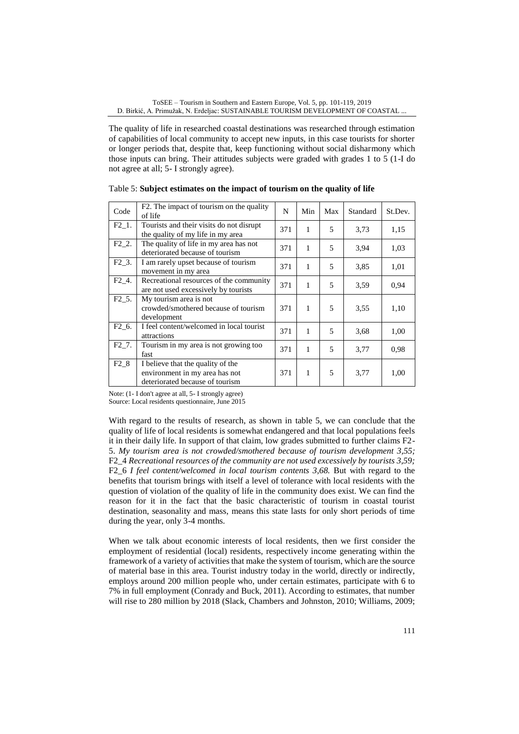The quality of life in researched coastal destinations was researched through estimation of capabilities of local community to accept new inputs, in this case tourists for shorter or longer periods that, despite that, keep functioning without social disharmony which those inputs can bring. Their attitudes subjects were graded with grades 1 to 5 (1-I do not agree at all; 5- I strongly agree).

| Code              | F2. The impact of tourism on the quality<br>of life                                                    | N   | Min          | Max | Standard | St.Dev. |
|-------------------|--------------------------------------------------------------------------------------------------------|-----|--------------|-----|----------|---------|
| F <sub>2</sub> 1. | Tourists and their visits do not disrupt<br>the quality of my life in my area                          | 371 | $\mathbf{1}$ | 5   | 3,73     | 1,15    |
| F <sub>2</sub> 2. | The quality of life in my area has not<br>deteriorated because of tourism                              | 371 | 1            | 5   | 3,94     | 1,03    |
| $F2_3$ .          | I am rarely upset because of tourism<br>movement in my area                                            | 371 | $\mathbf{1}$ | 5   | 3,85     | 1,01    |
| F <sub>2</sub> 4. | Recreational resources of the community<br>are not used excessively by tourists                        | 371 | $\mathbf{1}$ | 5   | 3,59     | 0.94    |
| F <sub>2</sub> 5. | My tourism area is not<br>crowded/smothered because of tourism<br>development                          | 371 | $\mathbf{1}$ | 5   | 3.55     | 1,10    |
| F <sub>2</sub> 6. | I feel content/welcomed in local tourist<br>attractions                                                | 371 | $\mathbf{1}$ | 5   | 3.68     | 1,00    |
| F <sub>2</sub> 7. | Tourism in my area is not growing too<br>fast                                                          | 371 | $\mathbf{1}$ | 5   | 3,77     | 0.98    |
| F <sub>2</sub> 8  | I believe that the quality of the<br>environment in my area has not<br>deteriorated because of tourism | 371 | $\mathbf{1}$ | 5   | 3,77     | 1,00    |

Table 5: **Subject estimates on the impact of tourism on the quality of life**

Note: (1- I don't agree at all, 5- I strongly agree) Source: Local residents questionnaire, June 2015

With regard to the results of research, as shown in table 5, we can conclude that the quality of life of local residents is somewhat endangered and that local populations feels it in their daily life. In support of that claim, low grades submitted to further claims F2- 5. *My tourism area is not crowded/smothered because of tourism development 3,55;*  F2\_4 *Recreational resources of the community are not used excessively by tourists 3,59;*  F2\_6 *I feel content/welcomed in local tourism contents 3,68.* But with regard to the benefits that tourism brings with itself a level of tolerance with local residents with the question of violation of the quality of life in the community does exist. We can find the reason for it in the fact that the basic characteristic of tourism in coastal tourist destination, seasonality and mass, means this state lasts for only short periods of time during the year, only 3-4 months.

When we talk about economic interests of local residents, then we first consider the employment of residential (local) residents, respectively income generating within the framework of a variety of activities that make the system of tourism, which are the source of material base in this area. Tourist industry today in the world, directly or indirectly, employs around 200 million people who, under certain estimates, participate with 6 to 7% in full employment (Conrady and Buck, 2011). According to estimates, that number will rise to 280 million by 2018 (Slack, Chambers and Johnston, 2010; Williams, 2009;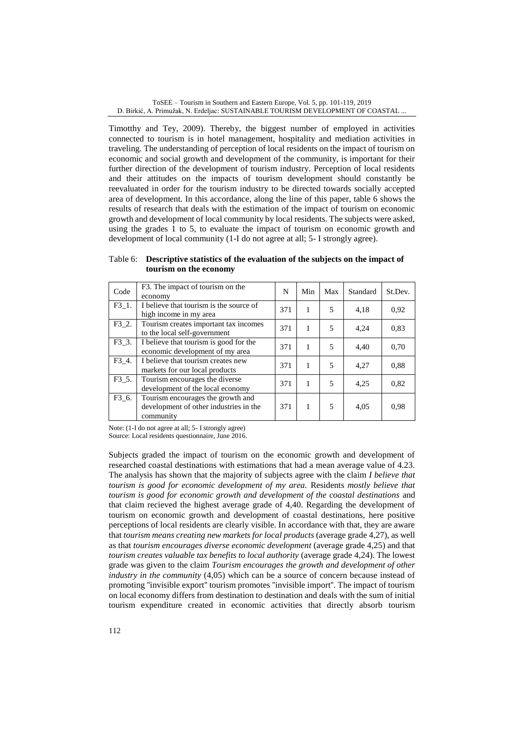Timotthy and Tey, 2009). Thereby, the biggest number of employed in activities connected to tourism is in hotel management, hospitality and mediation activities in traveling. The understanding of perception of local residents on the impact of tourism on economic and social growth and development of the community, is important for their further direction of the development of tourism industry. Perception of local residents and their attitudes on the impacts of tourism development should constantly be reevaluated in order for the tourism industry to be directed towards socially accepted area of development. In this accordance, along the line of this paper, table 6 shows the results of research that deals with the estimation of the impact of tourism on economic growth and development of local community by local residents. The subjects were asked, using the grades 1 to 5, to evaluate the impact of tourism on economic growth and development of local community (1-I do not agree at all; 5- I strongly agree).

Table 6: **Descriptive statistics of the evaluation of the subjects on the impact of tourism on the economy**

| Code     | F3. The impact of tourism on the<br>economy                                              | N   | Min | Max | Standard | St.Dev. |
|----------|------------------------------------------------------------------------------------------|-----|-----|-----|----------|---------|
| F3 1.    | I believe that tourism is the source of<br>high income in my area                        | 371 | 1   | 5   | 4,18     | 0,92    |
| $F3_2$ . | Tourism creates important tax incomes<br>to the local self-government                    | 371 | 1   | 5   | 4,24     | 0,83    |
| F3 3.    | I believe that tourism is good for the<br>economic development of my area                | 371 | 1   | 5   | 4,40     | 0,70    |
| $F3_4$ . | I believe that tourism creates new<br>markets for our local products                     | 371 | 1   | 5   | 4,27     | 0.88    |
| F3 5.    | Tourism encourages the diverse<br>development of the local economy                       | 371 | 1   | 5   | 4,25     | 0,82    |
| $F3_6$ . | Tourism encourages the growth and<br>development of other industries in the<br>community | 371 | 1   | 5   | 4,05     | 0.98    |

Note: (1-I do not agree at all; 5- I strongly agree) Source: Local residents questionnaire, June 2016.

Subjects graded the impact of tourism on the economic growth and development of researched coastal destinations with estimations that had a mean average value of 4.23. The analysis has shown that the majority of subjects agree with the claim *I believe that tourism is good for economic development of my area.* Residents *mostly believe that tourism is good for economic growth and development of the coastal destinations* and that claim recieved the highest average grade of 4,40. Regarding the development of tourism on economic growth and development of coastal destinations, here positive perceptions of local residents are clearly visible. In accordance with that, they are aware that *tourism means creating new markets for local products* (average grade 4,27), as well as that *tourism encourages diverse economic development* (average grade 4,25) and that *tourism creates valuable tax benefits to local authority (average grade 4,24). The lowest* grade was given to the claim *Tourism encourages the growth and development of other industry in the community* (4,05) which can be a source of concern because instead of promoting ''invisible export'' tourism promotes ''invisible import''. The impact of tourism on local economy differs from destination to destination and deals with the sum of initial tourism expenditure created in economic activities that directly absorb tourism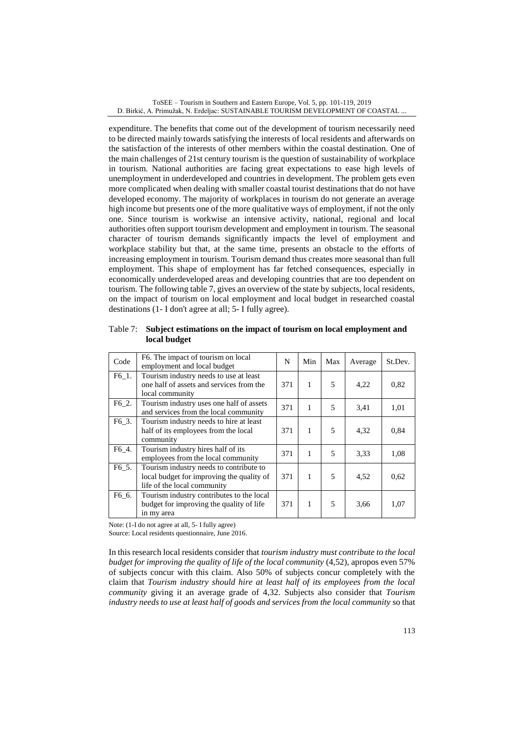expenditure. The benefits that come out of the development of tourism necessarily need to be directed mainly towards satisfying the interests of local residents and afterwards on the satisfaction of the interests of other members within the coastal destination. One of the main challenges of 21st century tourism is the question of sustainability of workplace in tourism. National authorities are facing great expectations to ease high levels of unemployment in underdeveloped and countries in development. The problem gets even more complicated when dealing with smaller coastal tourist destinations that do not have developed economy. The majority of workplaces in tourism do not generate an average high income but presents one of the more qualitative ways of employment, if not the only one. Since tourism is workwise an intensive activity, national, regional and local authorities often support tourism development and employment in tourism. The seasonal character of tourism demands significantly impacts the level of employment and workplace stability but that, at the same time, presents an obstacle to the efforts of increasing employment in tourism. Tourism demand thus creates more seasonal than full employment. This shape of employment has far fetched consequences, especially in economically underdeveloped areas and developing countries that are too dependent on tourism. The following table 7, gives an overview of the state by subjects, local residents, on the impact of tourism on local employment and local budget in researched coastal destinations (1- I don't agree at all; 5- I fully agree).

| Code               | F6. The impact of tourism on local<br>employment and local budget                                                   | N   | Min | Max | Average | St.Dev. |
|--------------------|---------------------------------------------------------------------------------------------------------------------|-----|-----|-----|---------|---------|
| F6 1.              | Tourism industry needs to use at least<br>one half of assets and services from the<br>local community               | 371 | 1   | 5   | 4,22    | 0,82    |
| $F6_2$ .           | Tourism industry uses one half of assets<br>and services from the local community                                   | 371 | 1   | 5   | 3,41    | 1,01    |
| F6 3.              | Tourism industry needs to hire at least<br>half of its employees from the local<br>community                        | 371 | 1   | 5   | 4,32    | 0,84    |
| F6_4.              | Tourism industry hires half of its<br>employees from the local community                                            | 371 | 1   | 5   | 3.33    | 1,08    |
| F <sub>6</sub> _5. | Tourism industry needs to contribute to<br>local budget for improving the quality of<br>life of the local community | 371 | 1   | 5   | 4,52    | 0.62    |
| F6_6.              | Tourism industry contributes to the local<br>budget for improving the quality of life<br>in my area                 | 371 | 1   | 5   | 3,66    | 1,07    |

Table 7: **Subject estimations on the impact of tourism on local employment and local budget**

Note: (1-I do not agree at all, 5- I fully agree)

Source: Local residents questionnaire, June 2016.

In this research local residents consider that *tourism industry must contribute to the local budget for improving the quality of life of the local community* (4,52), apropos even 57% of subjects concur with this claim. Also 50% of subjects concur completely with the claim that *Tourism industry should hire at least half of its employees from the local community* giving it an average grade of 4,32. Subjects also consider that *Tourism industry needs to use at least half of goods and services from the local community* so that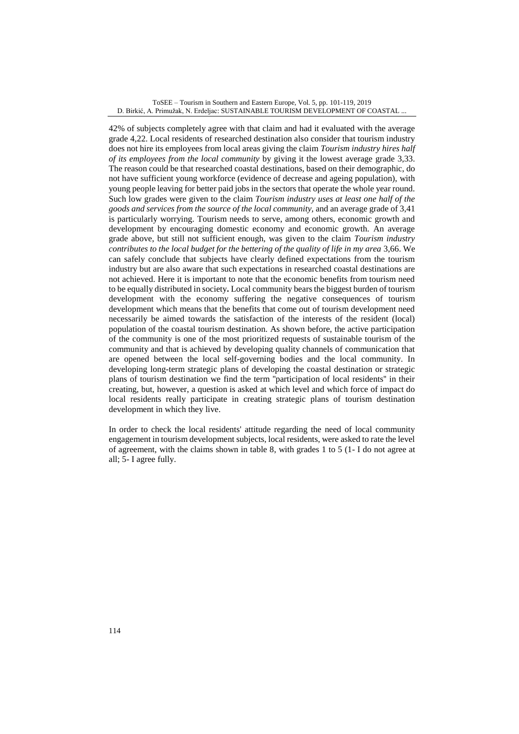42% of subjects completely agree with that claim and had it evaluated with the average grade 4,22. Local residents of researched destination also consider that tourism industry does not hire its employees from local areas giving the claim *Tourism industry hires half of its employees from the local community* by giving it the lowest average grade 3,33. The reason could be that researched coastal destinations, based on their demographic, do not have sufficient young workforce (evidence of decrease and ageing population), with young people leaving for better paid jobs in the sectors that operate the whole year round. Such low grades were given to the claim *Tourism industry uses at least one half of the goods and services from the source of the local community,* and an average grade of 3,41 is particularly worrying. Tourism needs to serve, among others, economic growth and development by encouraging domestic economy and economic growth. An average grade above, but still not sufficient enough, was given to the claim *Tourism industry contributes to the local budget for the bettering of the quality of life in my area* 3,66. We can safely conclude that subjects have clearly defined expectations from the tourism industry but are also aware that such expectations in researched coastal destinations are not achieved. Here it is important to note that the economic benefits from tourism need to be equally distributed in society**.** Local community bears the biggest burden of tourism development with the economy suffering the negative consequences of tourism development which means that the benefits that come out of tourism development need necessarily be aimed towards the satisfaction of the interests of the resident (local) population of the coastal tourism destination. As shown before, the active participation of the community is one of the most prioritized requests of sustainable tourism of the community and that is achieved by developing quality channels of communication that are opened between the local self-governing bodies and the local community. In developing long-term strategic plans of developing the coastal destination or strategic plans of tourism destination we find the term ''participation of local residents'' in their creating, but, however, a question is asked at which level and which force of impact do local residents really participate in creating strategic plans of tourism destination development in which they live.

In order to check the local residents' attitude regarding the need of local community engagement in tourism development subjects, local residents, were asked to rate the level of agreement, with the claims shown in table 8, with grades 1 to 5 (1- I do not agree at all; 5- I agree fully.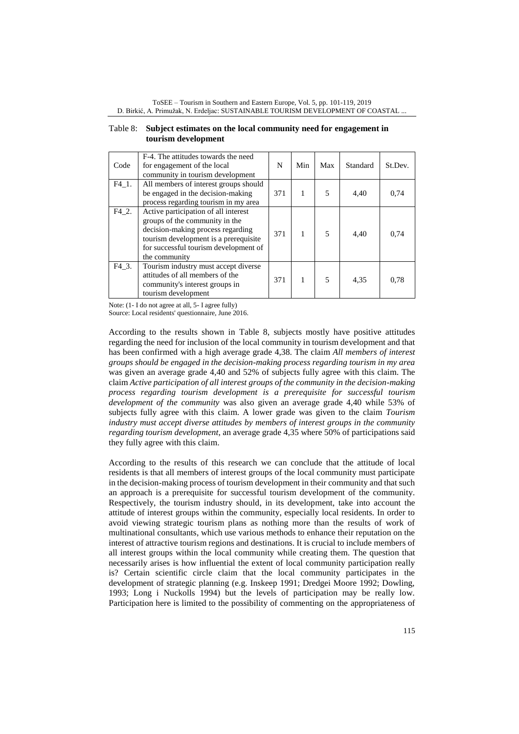| Table 8: Subject estimates on the local community need for engagement in |
|--------------------------------------------------------------------------|
| tourism development                                                      |

| Code  | F-4. The attitudes towards the need<br>for engagement of the local<br>community in tourism development                                                                                                         | N   | Min | Max            | Standard | St.Dev. |
|-------|----------------------------------------------------------------------------------------------------------------------------------------------------------------------------------------------------------------|-----|-----|----------------|----------|---------|
| F4 1. | All members of interest groups should<br>be engaged in the decision-making<br>process regarding tourism in my area                                                                                             | 371 | 1   | 5              | 4,40     | 0,74    |
| F4 2. | Active participation of all interest<br>groups of the community in the<br>decision-making process regarding<br>tourism development is a prerequisite<br>for successful tourism development of<br>the community | 371 | 1   | $\overline{5}$ | 4,40     | 0,74    |
| F4 3. | Tourism industry must accept diverse<br>attitudes of all members of the<br>community's interest groups in<br>tourism development                                                                               | 371 |     | $\overline{5}$ | 4.35     | 0,78    |

Note: (1- I do not agree at all, 5- I agree fully)

Source: Local residents' questionnaire, June 2016.

According to the results shown in Table 8, subjects mostly have positive attitudes regarding the need for inclusion of the local community in tourism development and that has been confirmed with a high average grade 4,38. The claim *All members of interest groups should be engaged in the decision-making process regarding tourism in my area* was given an average grade 4,40 and 52% of subjects fully agree with this claim. The claim *Active participation of all interest groups of the community in the decision-making process regarding tourism development is a prerequisite for successful tourism development of the community* was also given an average grade 4,40 while 53% of subjects fully agree with this claim. A lower grade was given to the claim *Tourism industry must accept diverse attitudes by members of interest groups in the community regarding tourism development*, an average grade 4,35 where 50% of participations said they fully agree with this claim.

According to the results of this research we can conclude that the attitude of local residents is that all members of interest groups of the local community must participate in the decision-making process of tourism development in their community and that such an approach is a prerequisite for successful tourism development of the community. Respectively, the tourism industry should, in its development, take into account the attitude of interest groups within the community, especially local residents. In order to avoid viewing strategic tourism plans as nothing more than the results of work of multinational consultants, which use various methods to enhance their reputation on the interest of attractive tourism regions and destinations. It is crucial to include members of all interest groups within the local community while creating them. The question that necessarily arises is how influential the extent of local community participation really is? Certain scientific circle claim that the local community participates in the development of strategic planning (e.g. Inskeep 1991; Dredgei Moore 1992; Dowling, 1993; Long i Nuckolls 1994) but the levels of participation may be really low. Participation here is limited to the possibility of commenting on the appropriateness of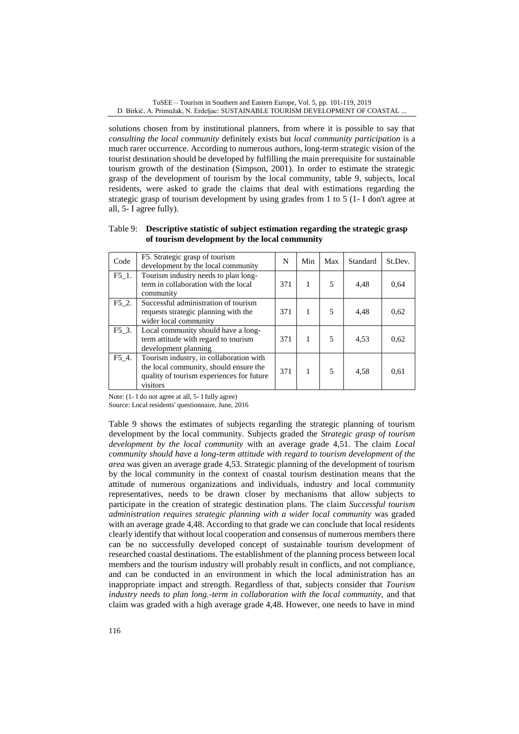solutions chosen from by institutional planners, from where it is possible to say that *consulting the local community* definitely exists but *local community participation* is a much rarer occurrence. According to numerous authors, long-term strategic vision of the tourist destination should be developed by fulfilling the main prerequisite for sustainable tourism growth of the destination (Simpson, 2001). In order to estimate the strategic grasp of the development of tourism by the local community, table 9, subjects, local residents, were asked to grade the claims that deal with estimations regarding the strategic grasp of tourism development by using grades from 1 to 5 (1- I don't agree at all, 5- I agree fully).

| Code  | F5. Strategic grasp of tourism<br>development by the local community                                                                       | N   | Min | Max | Standard | St.Dev. |
|-------|--------------------------------------------------------------------------------------------------------------------------------------------|-----|-----|-----|----------|---------|
| F5 1. | Tourism industry needs to plan long-<br>term in collaboration with the local<br>community                                                  | 371 | 1   | 5   | 4,48     | 0.64    |
| F5 2. | Successful administration of tourism<br>requests strategic planning with the<br>wider local community                                      | 371 | 1   | 5   | 4,48     | 0.62    |
| F5 3. | Local community should have a long-<br>term attitude with regard to tourism<br>development planning                                        | 371 |     | 5   | 4,53     | 0.62    |
| F5 4. | Tourism industry, in collaboration with<br>the local community, should ensure the<br>quality of tourism experiences for future<br>visitors | 371 |     | 5   | 4,58     | 0.61    |

Table 9: **Descriptive statistic of subject estimation regarding the strategic grasp of tourism development by the local community**

Note: (1- I do not agree at all, 5- I fully agree)

Source: Local residents' questionnaire, June, 2016

Table 9 shows the estimates of subjects regarding the strategic planning of tourism development by the local community. Subjects graded the *Strategic grasp of tourism development by the local community* with an average grade 4,51. The claim *Local community should have a long-term attitude with regard to tourism development of the area* was given an average grade 4,53. Strategic planning of the development of tourism by the local community in the context of coastal tourism destination means that the attitude of numerous organizations and individuals, industry and local community representatives, needs to be drawn closer by mechanisms that allow subjects to participate in the creation of strategic destination plans. The claim *Successful tourism administration requires strategic planning with a wider local community* was graded with an average grade 4,48. According to that grade we can conclude that local residents clearly identify that without local cooperation and consensus of numerous members there can be no successfully developed concept of sustainable tourism development of researched coastal destinations. The establishment of the planning process between local members and the tourism industry will probably result in conflicts, and not compliance, and can be conducted in an environment in which the local administration has an inappropriate impact and strength. Regardless of that, subjects consider that *Tourism industry needs to plan long.-term in collaboration with the local community, and that* claim was graded with a high average grade 4,48. However, one needs to have in mind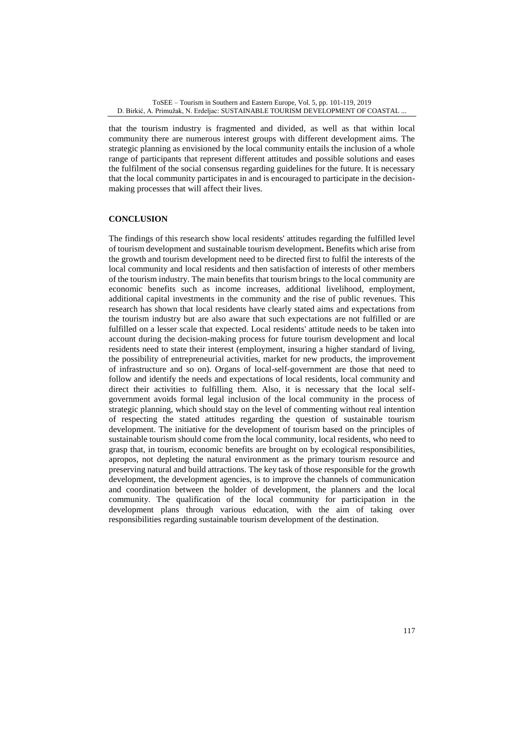that the tourism industry is fragmented and divided, as well as that within local community there are numerous interest groups with different development aims. The strategic planning as envisioned by the local community entails the inclusion of a whole range of participants that represent different attitudes and possible solutions and eases the fulfilment of the social consensus regarding guidelines for the future. It is necessary that the local community participates in and is encouraged to participate in the decisionmaking processes that will affect their lives.

## **CONCLUSION**

The findings of this research show local residents' attitudes regarding the fulfilled level of tourism development and sustainable tourism development**.** Benefits which arise from the growth and tourism development need to be directed first to fulfil the interests of the local community and local residents and then satisfaction of interests of other members of the tourism industry. The main benefits that tourism brings to the local community are economic benefits such as income increases, additional livelihood, employment, additional capital investments in the community and the rise of public revenues. This research has shown that local residents have clearly stated aims and expectations from the tourism industry but are also aware that such expectations are not fulfilled or are fulfilled on a lesser scale that expected. Local residents' attitude needs to be taken into account during the decision-making process for future tourism development and local residents need to state their interest (employment, insuring a higher standard of living, the possibility of entrepreneurial activities, market for new products, the improvement of infrastructure and so on). Organs of local-self-government are those that need to follow and identify the needs and expectations of local residents, local community and direct their activities to fulfilling them. Also, it is necessary that the local selfgovernment avoids formal legal inclusion of the local community in the process of strategic planning, which should stay on the level of commenting without real intention of respecting the stated attitudes regarding the question of sustainable tourism development. The initiative for the development of tourism based on the principles of sustainable tourism should come from the local community, local residents, who need to grasp that, in tourism, economic benefits are brought on by ecological responsibilities, apropos, not depleting the natural environment as the primary tourism resource and preserving natural and build attractions. The key task of those responsible for the growth development, the development agencies, is to improve the channels of communication and coordination between the holder of development, the planners and the local community. The qualification of the local community for participation in the development plans through various education, with the aim of taking over responsibilities regarding sustainable tourism development of the destination.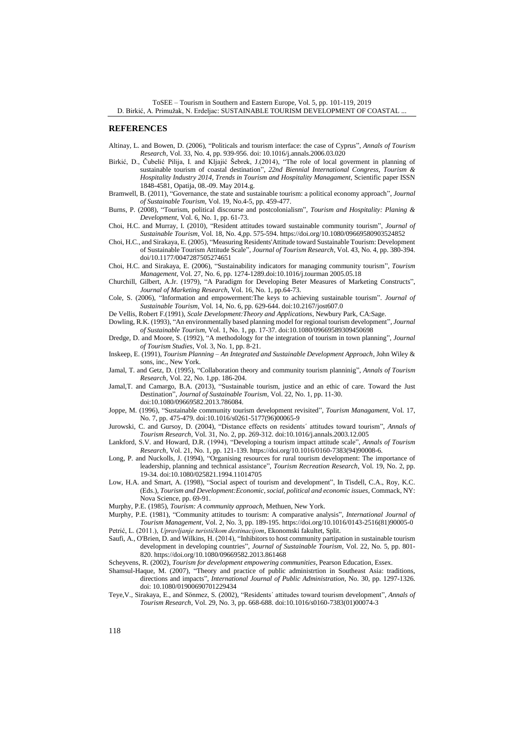#### **REFERENCES**

- Altinay, L. and Bowen, D. (2006), "Politicals and tourism interface: the case of Cyprus", *Annals of Tourism Research*, Vol. 33, No. 4, pp. 939-956. doi: 10.1016/j.annals.2006.03.020
- Birkić, D., Čubelić Pilija, I. and Kljajić Šebrek, J.(2014), "The role of local goverment in planning of sustainable tourism of coastal destination", 22nd Biennial International Congress, Tourism & *Hospitality Industry 2014, Trends in Tourism and Hospitality Managament*, Scientific paper ISSN 1848-4581, Opatija, 08.-09. May 2014.g.
- Bramwell, B. (2011), "Governance, the state and sustainable tourism: a political economy approach", *Journal of Sustainable Tourism*, Vol. 19, No.4-5, pp. 459-477.
- Burns, P. (2008), "Tourism, political discourse and postcolonialism", *Tourism and Hospitality: Planing & Development*, Vol. 6, No. 1, pp. 61-73.
- Choi, H.C. and Murray, I. (2010), "Resident attitudes toward sustainable community tourism", *Journal of Sustainable Tourism*, Vol. 18, No. 4,pp. 575-594. https://doi.org/10.1080/09669580903524852
- Choi, H.C., and Sirakaya, E. (2005), "Measuring Residents'Attitude toward Sustainable Tourism: Development of Sustainable Tourism Attitude Scale", *Journal of Tourism Research*, Vol. 43, No. 4, pp. 380-394. doi/10.1177/0047287505274651
- Choi, H.C. and Sirakaya, E. (2006), "Sustainability indicators for managing community tourism", *Tourism Management*, Vol. 27, No. 6, pp. 1274-1289.doi:10.1016/j.tourman 2005.05.18
- Churchill, Gilbert, A.Jr. (1979), "A Paradigm for Developing Beter Measures of Marketing Constructs", *Journal of Marketing Research*, Vol. 16, No. 1, pp.64-73.
- Cole, S. (2006), "Information and empowerment:The keys to achieving sustainable tourism". *Journal of Sustainable Tourism*, Vol. 14, No. 6, pp. 629-644. doi:10.2167/jost607.0
- De Vellis, Robert F.(1991), *Scale Development:Theory and Applications*, Newbury Park, CA:Sage.
- Dowling, R.K. (1993), "An environmentally based planning model for regional tourism development", *Journal of Sustainable Tourism*, Vol. 1, No. 1, pp. 17-37. doi:10.1080/09669589309450698
- Dredge, D. and Moore, S. (1992), "A methodology for the integration of tourism in town planning", *Journal of Tourism Studies,* Vol. 3, No. 1, pp. 8-21.
- Inskeep, E. (1991), *Tourism Planning – An Integrated and Sustainable Development Approach*, John Wiley & sons, inc., New York.
- Jamal, T. and Getz, D. (1995), "Collaboration theory and community tourism planninig", *Annals of Tourism Research*, Vol. 22, No. 1,pp. 186-204.
- Jamal,T. and Camargo, B.A. (2013), "Sustainable tourism, justice and an ethic of care. Toward the Just Destination", *Journal of Sustainable Tourism*, Vol. 22, No. 1, pp. 11-30. doi:10.1080/09669582.2013.786084.
- Joppe, M. (1996), "Sustainable community tourism development revisited", *Tourism Managament*, Vol. 17, No. 7, pp. 475-479. doi:10.1016/s0261-5177(96)00065-9
- Jurowski, C. and Gursoy, D. (2004), "Distance effects on residents´ attitudes toward tourism", *Annals of Tourism Research*, Vol. 31, No. 2, pp. 269-312. doi:10.1016/j.annals.2003.12.005
- Lankford, S.V. and Howard, D.R. (1994), "Developing a tourism impact attitude scale", *Annals of Tourism Research*, Vol. 21, No. 1, pp. 121-139. https://doi.org/10.1016/0160-7383(94)90008-6.
- Long, P. and Nuckolls, J. (1994), "Organising resources for rural tourism development: The importance of leadership, planning and technical assistance", *Tourism Recreation Research*, Vol. 19, No. 2, pp. 19-34. doi:10.1080/025821.1994.11014705
- Low, H.A. and Smart, A. (1998), "Social aspect of tourism and development", In Tisdell, C.A., Roy, K.C. (Eds.), *Tourism and Development:Economic, social, political and economic issues*, Commack, NY: Nova Science, pp. 69-91.
- Murphy, P.E. (1985), *Tourism: A community approach*, Methuen, New York.
- Murphy, P.E. (1981), "Community attitudes to tourism: A comparative analysis", *International Journal of Tourism Management*, Vol. 2, No. 3, pp. 189-195. https://doi.org/10.1016/0143-2516(81)90005-0 Petrić, L. (2011.), *Upravljanje turističkom destinacijom*, Ekonomski fakultet, Split.
- Saufi, A., O'Brien, D. and Wilkins, H. (2014), "Inhibitors to host community partipation in sustainable tourism development in developing countries", *Journal of Sustainable Tourism*, Vol. 22, No. 5, pp. 801- 820. https://doi.org/10.1080/09669582.2013.861468
- Scheyvens, R. (2002), *Tourism for development empowering communities*, Pearson Education, Essex.
- Shamsul-Haque, M. (2007), "Theory and practice of public administrtion in Southeast Asia: traditions, directions and impacts", *International Journal of Public Administration*, No. 30, pp. 1297-1326. doi: 10.1080/01900690701229434
- Teye,V., Sirakaya, E., and Sönmez, S. (2002), "Residents´ attitudes toward tourism development", *Annals of Tourism Research*, Vol. 29, No. 3, pp. 668-688. doi:10.1016/s0160-7383(01)00074-3